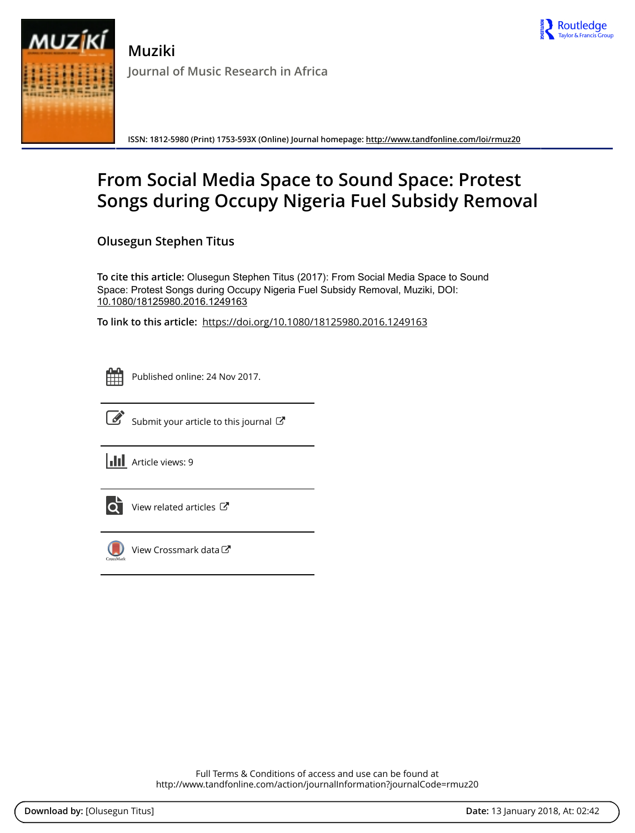



**ISSN: 1812-5980 (Print) 1753-593X (Online) Journal homepage: <http://www.tandfonline.com/loi/rmuz20>**

# **From Social Media Space to Sound Space: Protest Songs during Occupy Nigeria Fuel Subsidy Removal**

**Olusegun Stephen Titus**

**To cite this article:** Olusegun Stephen Titus (2017): From Social Media Space to Sound Space: Protest Songs during Occupy Nigeria Fuel Subsidy Removal, Muziki, DOI: [10.1080/18125980.2016.1249163](http://www.tandfonline.com/action/showCitFormats?doi=10.1080/18125980.2016.1249163)

**To link to this article:** <https://doi.org/10.1080/18125980.2016.1249163>

Published online: 24 Nov 2017.



 $\overline{\mathscr{L}}$  [Submit your article to this journal](http://www.tandfonline.com/action/authorSubmission?journalCode=rmuz20&show=instructions)  $\mathbb{F}$ 

**III** Article views: 9



 $\overline{Q}$  [View related articles](http://www.tandfonline.com/doi/mlt/10.1080/18125980.2016.1249163)  $\overline{C}$ 



 $\bigcirc$  [View Crossmark data](http://crossmark.crossref.org/dialog/?doi=10.1080/18125980.2016.1249163&domain=pdf&date_stamp=2017-11-24) $\mathbb{Z}$ 

Full Terms & Conditions of access and use can be found at <http://www.tandfonline.com/action/journalInformation?journalCode=rmuz20>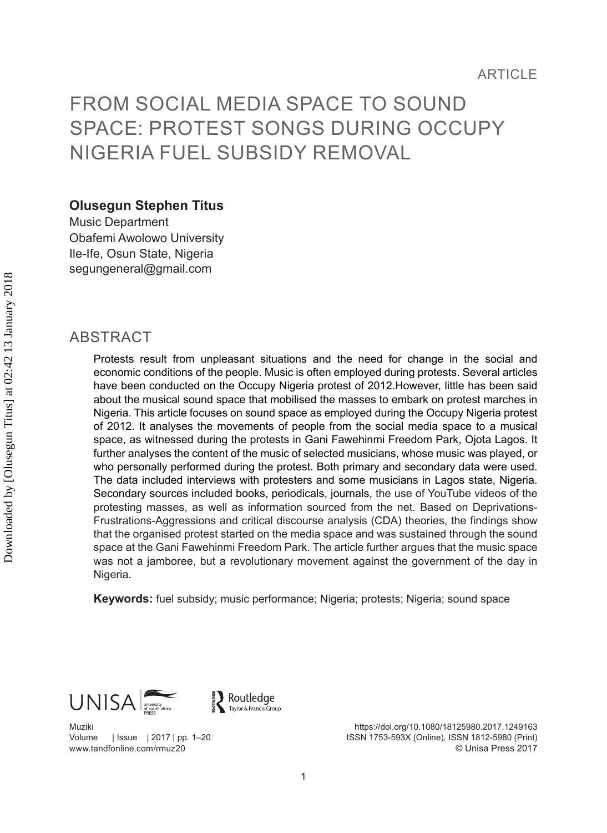# FROM SOCIAL MEDIA SPACE TO SOUND SPACE: PROTEST SONGS DURING OCCUPY NIGERIA FUEL SUBSIDY REMOVAL

#### **Olusegun Stephen Titus**

Music Department Obafemi Awolowo University Ile-Ife, Osun State, Nigeria segungeneral@gmail.com

#### ABSTRACT

Protests result from unpleasant situations and the need for change in the social and economic conditions of the people. Music is often employed during protests. Several articles have been conducted on the Occupy Nigeria protest of 2012.However, little has been said about the musical sound space that mobilised the masses to embark on protest marches in Nigeria. This article focuses on sound space as employed during the Occupy Nigeria protest of 2012. It analyses the movements of people from the social media space to a musical space, as witnessed during the protests in Gani Fawehinmi Freedom Park, Ojota Lagos. It further analyses the content of the music of selected musicians, whose music was played, or who personally performed during the protest. Both primary and secondary data were used. The data included interviews with protesters and some musicians in Lagos state, Nigeria. Secondary sources included books, periodicals, journals, the use of YouTube videos of the protesting masses, as well as information sourced from the net. Based on Deprivations-Frustrations-Aggressions and critical discourse analysis (CDA) theories, the findings show that the organised protest started on the media space and was sustained through the sound space at the Gani Fawehinmi Freedom Park. The article further argues that the music space was not a jamboree, but a revolutionary movement against the government of the day in Nigeria.

**Keywords:** fuel subsidy; music performance; Nigeria; protests; Nigeria; sound space



Muziki Volume | Issue | 2017 | pp. 1–20 www.tandfonline.com/rmuz20

https://doi.org/10.1080/18125980.2017.1249163 ISSN 1753-593X (Online), ISSN 1812-5980 (Print) © Unisa Press 2017

 $\sum_{\substack{\mathbf{g}\\ \mathbf{g}}} \sum_{\substack{\mathbf{Taylor} \&\ \text{Francis Group}}}$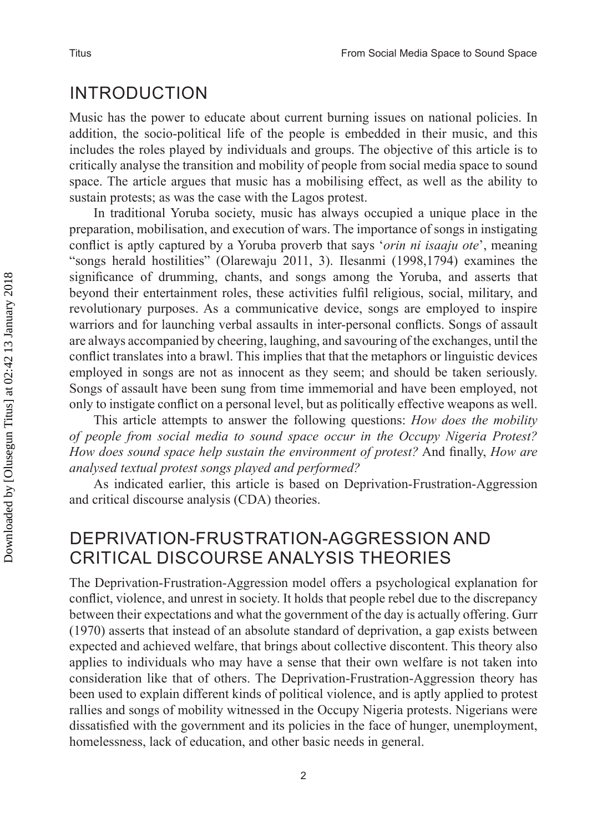#### INTRODUCTION

Music has the power to educate about current burning issues on national policies. In addition, the socio-political life of the people is embedded in their music, and this includes the roles played by individuals and groups. The objective of this article is to critically analyse the transition and mobility of people from social media space to sound space. The article argues that music has a mobilising effect, as well as the ability to sustain protests; as was the case with the Lagos protest.

In traditional Yoruba society, music has always occupied a unique place in the preparation, mobilisation, and execution of wars. The importance of songs in instigating conflict is aptly captured by a Yoruba proverb that says '*orin ni isaaju ote*', meaning "songs herald hostilities" (Olarewaju 2011, 3). Ilesanmi (1998,1794) examines the significance of drumming, chants, and songs among the Yoruba, and asserts that beyond their entertainment roles, these activities fulfil religious, social, military, and revolutionary purposes. As a communicative device, songs are employed to inspire warriors and for launching verbal assaults in inter-personal conflicts. Songs of assault are always accompanied by cheering, laughing, and savouring of the exchanges, until the conflict translates into a brawl. This implies that that the metaphors or linguistic devices employed in songs are not as innocent as they seem; and should be taken seriously. Songs of assault have been sung from time immemorial and have been employed, not only to instigate conflict on a personal level, but as politically effective weapons as well.

This article attempts to answer the following questions: *How does the mobility of people from social media to sound space occur in the Occupy Nigeria Protest? How does sound space help sustain the environment of protest?* And finally, *How are analysed textual protest songs played and performed?*

As indicated earlier, this article is based on Deprivation-Frustration-Aggression and critical discourse analysis (CDA) theories.

## DEPRIVATION-FRUSTRATION-AGGRESSION AND CRITICAL DISCOURSE ANALYSIS THEORIES

The Deprivation-Frustration-Aggression model offers a psychological explanation for conflict, violence, and unrest in society. It holds that people rebel due to the discrepancy between their expectations and what the government of the day is actually offering. Gurr (1970) asserts that instead of an absolute standard of deprivation, a gap exists between expected and achieved welfare, that brings about collective discontent. This theory also applies to individuals who may have a sense that their own welfare is not taken into consideration like that of others. The Deprivation-Frustration-Aggression theory has been used to explain different kinds of political violence, and is aptly applied to protest rallies and songs of mobility witnessed in the Occupy Nigeria protests. Nigerians were dissatisfied with the government and its policies in the face of hunger, unemployment, homelessness, lack of education, and other basic needs in general.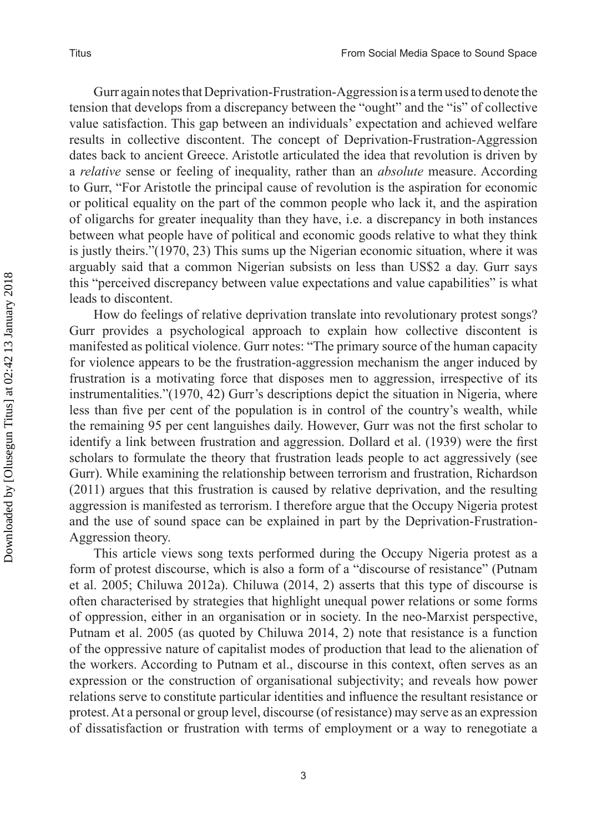Gurr again notes that Deprivation-Frustration-Aggression is a term used to denote the tension that develops from a discrepancy between the "ought" and the "is" of collective value satisfaction. This gap between an individuals' expectation and achieved welfare results in collective discontent. The concept of Deprivation-Frustration-Aggression dates back to ancient Greece. Aristotle articulated the idea that revolution is driven by a *relative* sense or feeling of inequality, rather than an *absolute* measure. According to Gurr, "For Aristotle the principal cause of revolution is the aspiration for economic or political equality on the part of the common people who lack it, and the aspiration of oligarchs for greater inequality than they have, i.e. a discrepancy in both instances between what people have of political and economic goods relative to what they think is justly theirs."(1970, 23) This sums up the Nigerian economic situation, where it was arguably said that a common Nigerian subsists on less than US\$2 a day. Gurr says this "perceived discrepancy between value expectations and value capabilities" is what leads to discontent.

How do feelings of relative deprivation translate into revolutionary protest songs? Gurr provides a psychological approach to explain how collective discontent is manifested as political violence. Gurr notes: "The primary source of the human capacity for violence appears to be the frustration-aggression mechanism the anger induced by frustration is a motivating force that disposes men to aggression, irrespective of its instrumentalities."(1970, 42) Gurr's descriptions depict the situation in Nigeria, where less than five per cent of the population is in control of the country's wealth, while the remaining 95 per cent languishes daily. However, Gurr was not the first scholar to identify a link between frustration and aggression. Dollard et al. (1939) were the first scholars to formulate the theory that frustration leads people to act aggressively (see Gurr). While examining the relationship between terrorism and frustration, Richardson (2011) argues that this frustration is caused by relative deprivation, and the resulting aggression is manifested as terrorism. I therefore argue that the Occupy Nigeria protest and the use of sound space can be explained in part by the Deprivation-Frustration-Aggression theory.

This article views song texts performed during the Occupy Nigeria protest as a form of protest discourse, which is also a form of a "discourse of resistance" (Putnam et al. 2005; Chiluwa 2012a). Chiluwa (2014, 2) asserts that this type of discourse is often characterised by strategies that highlight unequal power relations or some forms of oppression, either in an organisation or in society. In the neo-Marxist perspective, Putnam et al. 2005 (as quoted by Chiluwa 2014, 2) note that resistance is a function of the oppressive nature of capitalist modes of production that lead to the alienation of the workers. According to Putnam et al., discourse in this context, often serves as an expression or the construction of organisational subjectivity; and reveals how power relations serve to constitute particular identities and influence the resultant resistance or protest. At a personal or group level, discourse (of resistance) may serve as an expression of dissatisfaction or frustration with terms of employment or a way to renegotiate a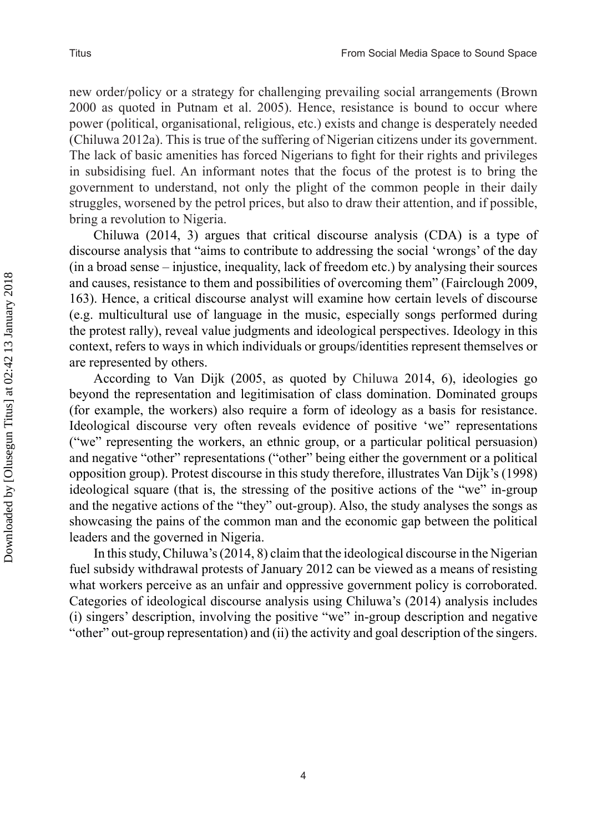new order/policy or a strategy for challenging prevailing social arrangements (Brown 2000 as quoted in Putnam et al. 2005). Hence, resistance is bound to occur where power (political, organisational, religious, etc.) exists and change is desperately needed (Chiluwa 2012a). This is true of the suffering of Nigerian citizens under its government. The lack of basic amenities has forced Nigerians to fight for their rights and privileges in subsidising fuel. An informant notes that the focus of the protest is to bring the government to understand, not only the plight of the common people in their daily struggles, worsened by the petrol prices, but also to draw their attention, and if possible, bring a revolution to Nigeria.

Chiluwa (2014, 3) argues that critical discourse analysis (CDA) is a type of discourse analysis that "aims to contribute to addressing the social 'wrongs' of the day (in a broad sense – injustice, inequality, lack of freedom etc.) by analysing their sources and causes, resistance to them and possibilities of overcoming them" (Fairclough 2009, 163). Hence, a critical discourse analyst will examine how certain levels of discourse (e.g. multicultural use of language in the music, especially songs performed during the protest rally), reveal value judgments and ideological perspectives. Ideology in this context, refers to ways in which individuals or groups/identities represent themselves or are represented by others.

According to Van Dijk (2005, as quoted by Chiluwa 2014, 6), ideologies go beyond the representation and legitimisation of class domination. Dominated groups (for example, the workers) also require a form of ideology as a basis for resistance. Ideological discourse very often reveals evidence of positive 'we" representations ("we" representing the workers, an ethnic group, or a particular political persuasion) and negative "other" representations ("other" being either the government or a political opposition group). Protest discourse in this study therefore, illustrates Van Dijk's (1998) ideological square (that is, the stressing of the positive actions of the "we" in-group and the negative actions of the "they" out-group). Also, the study analyses the songs as showcasing the pains of the common man and the economic gap between the political leaders and the governed in Nigeria.

In this study, Chiluwa's (2014, 8) claim that the ideological discourse in the Nigerian fuel subsidy withdrawal protests of January 2012 can be viewed as a means of resisting what workers perceive as an unfair and oppressive government policy is corroborated. Categories of ideological discourse analysis using Chiluwa's (2014) analysis includes (i) singers' description, involving the positive "we" in-group description and negative "other" out-group representation) and (ii) the activity and goal description of the singers.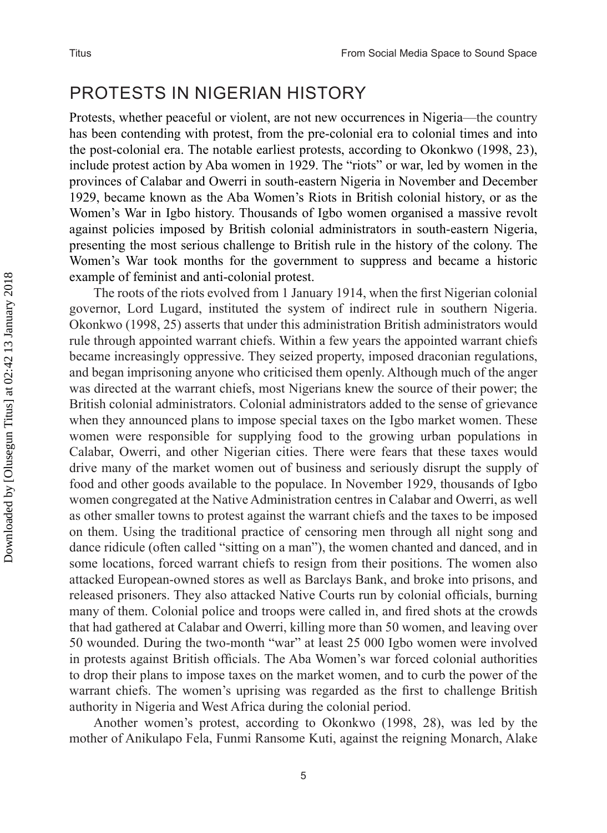### PROTESTS IN NIGERIAN HISTORY

Protests, whether peaceful or violent, are not new occurrences in Nigeria—the country has been contending with protest, from the pre-colonial era to colonial times and into the post-colonial era. The notable earliest protests, according to Okonkwo (1998, 23), include protest action by Aba women in 1929. The "riots" or war, led by women in the provinces of Calabar and Owerri in south-eastern Nigeria in November and December 1929, became known as the Aba Women's Riots in British colonial history, or as the Women's War in Igbo history. Thousands of Igbo women organised a massive revolt against policies imposed by British colonial administrators in south-eastern Nigeria, presenting the most serious challenge to British rule in the history of the colony. The Women's War took months for the government to suppress and became a historic example of feminist and anti-colonial protest.

The roots of the riots evolved from 1 January 1914, when the first Nigerian colonial governor, Lord Lugard, instituted the system of indirect rule in southern Nigeria. Okonkwo (1998, 25) asserts that under this administration British administrators would rule through appointed warrant chiefs. Within a few years the appointed warrant chiefs became increasingly oppressive. They seized property, imposed draconian regulations, and began imprisoning anyone who criticised them openly. Although much of the anger was directed at the warrant chiefs, most Nigerians knew the source of their power; the British colonial administrators. Colonial administrators added to the sense of grievance when they announced plans to impose special taxes on the Igbo market women. These women were responsible for supplying food to the growing urban populations in Calabar, Owerri, and other Nigerian cities. There were fears that these taxes would drive many of the market women out of business and seriously disrupt the supply of food and other goods available to the populace. In November 1929, thousands of Igbo women congregated at the Native Administration centres in Calabar and Owerri, as well as other smaller towns to protest against the warrant chiefs and the taxes to be imposed on them. Using the traditional practice of censoring men through all night song and dance ridicule (often called "sitting on a man"), the women chanted and danced, and in some locations, forced warrant chiefs to resign from their positions. The women also attacked European-owned stores as well as Barclays Bank, and broke into prisons, and released prisoners. They also attacked Native Courts run by colonial officials, burning many of them. Colonial police and troops were called in, and fired shots at the crowds that had gathered at Calabar and Owerri, killing more than 50 women, and leaving over 50 wounded. During the two-month "war" at least 25 000 Igbo women were involved in protests against British officials. The Aba Women's war forced colonial authorities to drop their plans to impose taxes on the market women, and to curb the power of the warrant chiefs. The women's uprising was regarded as the first to challenge British authority in Nigeria and West Africa during the colonial period.

Another women's protest, according to Okonkwo (1998, 28), was led by the mother of Anikulapo Fela, Funmi Ransome Kuti, against the reigning Monarch, Alake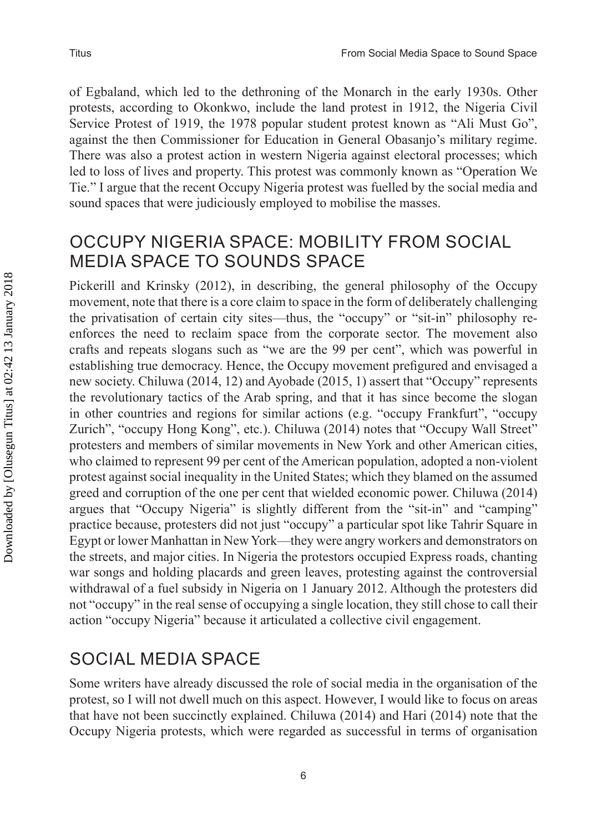of Egbaland, which led to the dethroning of the Monarch in the early 1930s. Other protests, according to Okonkwo, include the land protest in 1912, the Nigeria Civil Service Protest of 1919, the 1978 popular student protest known as "Ali Must Go", against the then Commissioner for Education in General Obasanjo's military regime. There was also a protest action in western Nigeria against electoral processes; which led to loss of lives and property. This protest was commonly known as "Operation We Tie." I argue that the recent Occupy Nigeria protest was fuelled by the social media and sound spaces that were judiciously employed to mobilise the masses.

# OCCUPY NIGERIA SPACE: MOBILITY FROM SOCIAL MEDIA SPACE TO SOUNDS SPACE

Pickerill and Krinsky (2012), in describing, the general philosophy of the Occupy movement, note that there is a core claim to space in the form of deliberately challenging the privatisation of certain city sites—thus, the "occupy" or "sit-in" philosophy reenforces the need to reclaim space from the corporate sector. The movement also crafts and repeats slogans such as "we are the 99 per cent", which was powerful in establishing true democracy. Hence, the Occupy movement prefigured and envisaged a new society. Chiluwa (2014, 12) and Ayobade (2015, 1) assert that "Occupy" represents the revolutionary tactics of the Arab spring, and that it has since become the slogan in other countries and regions for similar actions (e.g. "occupy Frankfurt", "occupy Zurich", "occupy Hong Kong", etc.). Chiluwa (2014) notes that "Occupy Wall Street" protesters and members of similar movements in New York and other American cities, who claimed to represent 99 per cent of the American population, adopted a non-violent protest against social inequality in the United States; which they blamed on the assumed greed and corruption of the one per cent that wielded economic power. Chiluwa (2014) argues that "Occupy Nigeria" is slightly different from the "sit-in" and "camping" practice because, protesters did not just "occupy" a particular spot like Tahrir Square in Egypt or lower Manhattan in New York—they were angry workers and demonstrators on the streets, and major cities. In Nigeria the protestors occupied Express roads, chanting war songs and holding placards and green leaves, protesting against the controversial withdrawal of a fuel subsidy in Nigeria on 1 January 2012. Although the protesters did not "occupy" in the real sense of occupying a single location, they still chose to call their action "occupy Nigeria" because it articulated a collective civil engagement.

# SOCIAL MEDIA SPACE

Some writers have already discussed the role of social media in the organisation of the protest, so I will not dwell much on this aspect. However, I would like to focus on areas that have not been succinctly explained. Chiluwa (2014) and Hari (2014) note that the Occupy Nigeria protests, which were regarded as successful in terms of organisation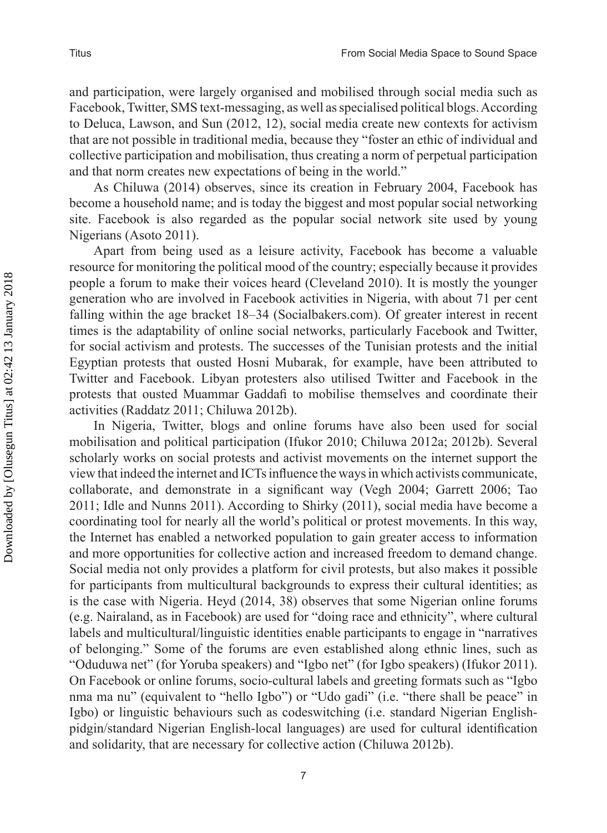and participation, were largely organised and mobilised through social media such as Facebook, Twitter, SMS text-messaging, as well as specialised political blogs. According to Deluca, Lawson, and Sun (2012, 12), social media create new contexts for activism that are not possible in traditional media, because they "foster an ethic of individual and collective participation and mobilisation, thus creating a norm of perpetual participation and that norm creates new expectations of being in the world."

As Chiluwa (2014) observes, since its creation in February 2004, Facebook has become a household name; and is today the biggest and most popular social networking site. Facebook is also regarded as the popular social network site used by young Nigerians (Asoto 2011).

Apart from being used as a leisure activity, Facebook has become a valuable resource for monitoring the political mood of the country; especially because it provides people a forum to make their voices heard (Cleveland 2010). It is mostly the younger generation who are involved in Facebook activities in Nigeria, with about 71 per cent falling within the age bracket 18–34 (Socialbakers.com). Of greater interest in recent times is the adaptability of online social networks, particularly Facebook and Twitter, for social activism and protests. The successes of the Tunisian protests and the initial Egyptian protests that ousted Hosni Mubarak, for example, have been attributed to Twitter and Facebook. Libyan protesters also utilised Twitter and Facebook in the protests that ousted Muammar Gaddafi to mobilise themselves and coordinate their activities (Raddatz 2011; Chiluwa 2012b).

In Nigeria, Twitter, blogs and online forums have also been used for social mobilisation and political participation (Ifukor 2010; Chiluwa 2012a; 2012b). Several scholarly works on social protests and activist movements on the internet support the view that indeed the internet and ICTs influence the ways in which activists communicate, collaborate, and demonstrate in a significant way (Vegh 2004; Garrett 2006; Tao 2011; Idle and Nunns 2011). According to Shirky (2011), social media have become a coordinating tool for nearly all the world's political or protest movements. In this way, the Internet has enabled a networked population to gain greater access to information and more opportunities for collective action and increased freedom to demand change. Social media not only provides a platform for civil protests, but also makes it possible for participants from multicultural backgrounds to express their cultural identities; as is the case with Nigeria. Heyd (2014, 38) observes that some Nigerian online forums (e.g. Nairaland, as in Facebook) are used for "doing race and ethnicity", where cultural labels and multicultural/linguistic identities enable participants to engage in "narratives of belonging." Some of the forums are even established along ethnic lines, such as "Oduduwa net" (for Yoruba speakers) and "Igbo net" (for Igbo speakers) (Ifukor 2011). On Facebook or online forums, socio-cultural labels and greeting formats such as "Igbo nma ma nu" (equivalent to "hello Igbo") or "Udo gadi" (i.e. "there shall be peace" in Igbo) or linguistic behaviours such as codeswitching (i.e. standard Nigerian Englishpidgin/standard Nigerian English-local languages) are used for cultural identification and solidarity, that are necessary for collective action (Chiluwa 2012b).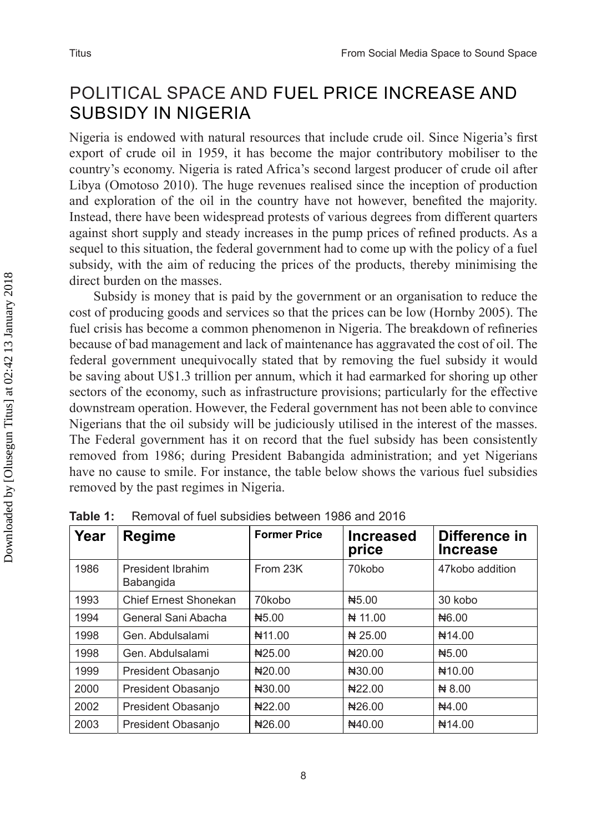# POLITICAL SPACE AND FUEL PRICE INCREASE AND SUBSIDY IN NIGERIA

Nigeria is endowed with natural resources that include crude oil. Since Nigeria's first export of crude oil in 1959, it has become the major contributory mobiliser to the country's economy. Nigeria is rated Africa's second largest producer of crude oil after Libya (Omotoso 2010). The huge revenues realised since the inception of production and exploration of the oil in the country have not however, benefited the majority. Instead, there have been widespread protests of various degrees from different quarters against short supply and steady increases in the pump prices of refined products. As a sequel to this situation, the federal government had to come up with the policy of a fuel subsidy, with the aim of reducing the prices of the products, thereby minimising the direct burden on the masses.

Subsidy is money that is paid by the government or an organisation to reduce the cost of producing goods and services so that the prices can be low (Hornby 2005). The fuel crisis has become a common phenomenon in Nigeria. The breakdown of refineries because of bad management and lack of maintenance has aggravated the cost of oil. The federal government unequivocally stated that by removing the fuel subsidy it would be saving about U\$1.3 trillion per annum, which it had earmarked for shoring up other sectors of the economy, such as infrastructure provisions; particularly for the effective downstream operation. However, the Federal government has not been able to convince Nigerians that the oil subsidy will be judiciously utilised in the interest of the masses. The Federal government has it on record that the fuel subsidy has been consistently removed from 1986; during President Babangida administration; and yet Nigerians have no cause to smile. For instance, the table below shows the various fuel subsidies removed by the past regimes in Nigeria.

| Year | <b>Regime</b>                  | <b>Former Price</b> | Increased<br>price | Difference in<br><b>Increase</b> |
|------|--------------------------------|---------------------|--------------------|----------------------------------|
| 1986 | President Ibrahim<br>Babangida | From 23K            | 70kobo             | 47kobo addition                  |
| 1993 | <b>Chief Ernest Shonekan</b>   | 70kobo              | H5.00              | 30 kobo                          |
| 1994 | General Sani Abacha            | H5.00               | $\#$ 11.00         | H6.00                            |
| 1998 | Gen. Abdulsalami               | #11.00              | $\bigstar 25.00$   | ₦14.00                           |
| 1998 | Gen. Abdulsalami               | H25.00              | $\text{H}20.00$    | H5.00                            |
| 1999 | President Obasanjo             | H20.00              | N <sub>30.00</sub> | #10.00                           |
| 2000 | President Obasanjo             | $\text{H}30.00$     | $\text{H}22.00$    | $\#8.00$                         |
| 2002 | President Obasanjo             | $\text{H}22.00$     | #26.00             | H4.00                            |
| 2003 | President Obasanjo             | H26.00              | #40.00             | #14.00                           |

**Table 1:** Removal of fuel subsidies between 1986 and 2016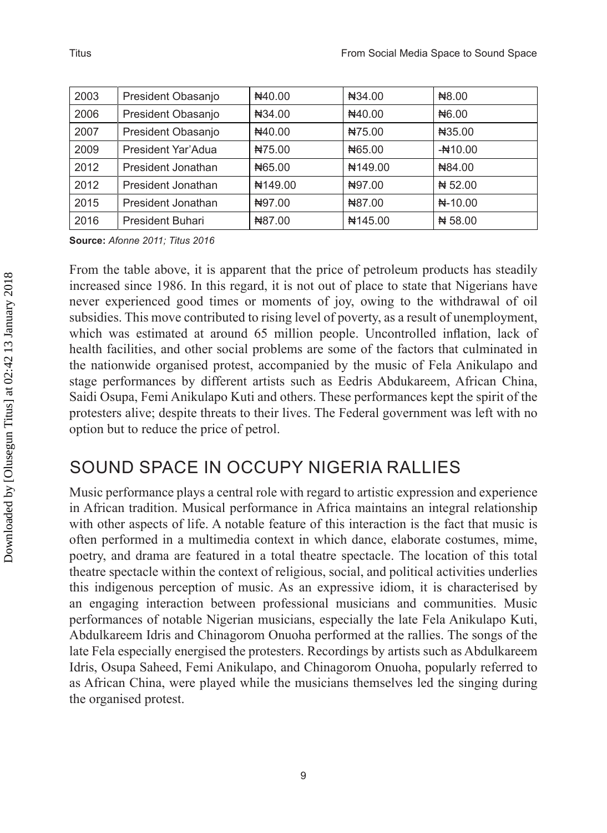| 2003 | President Obasanjo | #40.00             | N <sub>34.00</sub> | N <sub>8.00</sub> |
|------|--------------------|--------------------|--------------------|-------------------|
| 2006 | President Obasanjo | N <sub>34.00</sub> | <b>N40.00</b>      | No.00             |
| 2007 | President Obasanjo | <b>N40.00</b>      | <b>N75.00</b>      | N35.00            |
| 2009 | President Yar'Adua | <b>N75.00</b>      | N65.00             | $-$ N+10.00       |
| 2012 | President Jonathan | N65.00             | #149.00            | No.84             |
| 2012 | President Jonathan | #149.00            | Ne 97.00           | # 52.00           |
| 2015 | President Jonathan | Net 97.00          | <b>N87.00</b>      | $H - 10.00$       |
| 2016 | President Buhari   | <b>N87.00</b>      | N145.00            | ₦ 58.00           |

**Source:** *Afonne 2011; Titus 2016* 

From the table above, it is apparent that the price of petroleum products has steadily increased since 1986. In this regard, it is not out of place to state that Nigerians have never experienced good times or moments of joy, owing to the withdrawal of oil subsidies. This move contributed to rising level of poverty, as a result of unemployment, which was estimated at around 65 million people. Uncontrolled inflation, lack of health facilities, and other social problems are some of the factors that culminated in the nationwide organised protest, accompanied by the music of Fela Anikulapo and stage performances by different artists such as Eedris Abdukareem, African China, Saidi Osupa, Femi Anikulapo Kuti and others. These performances kept the spirit of the protesters alive; despite threats to their lives. The Federal government was left with no option but to reduce the price of petrol.

# SOUND SPACE IN OCCUPY NIGERIA RALLIES

Music performance plays a central role with regard to artistic expression and experience in African tradition. Musical performance in Africa maintains an integral relationship with other aspects of life. A notable feature of this interaction is the fact that music is often performed in a multimedia context in which dance, elaborate costumes, mime, poetry, and drama are featured in a total theatre spectacle. The location of this total theatre spectacle within the context of religious, social, and political activities underlies this indigenous perception of music. As an expressive idiom, it is characterised by an engaging interaction between professional musicians and communities. Music performances of notable Nigerian musicians, especially the late Fela Anikulapo Kuti, Abdulkareem Idris and Chinagorom Onuoha performed at the rallies. The songs of the late Fela especially energised the protesters. Recordings by artists such as Abdulkareem Idris, Osupa Saheed, Femi Anikulapo, and Chinagorom Onuoha, popularly referred to as African China, were played while the musicians themselves led the singing during the organised protest.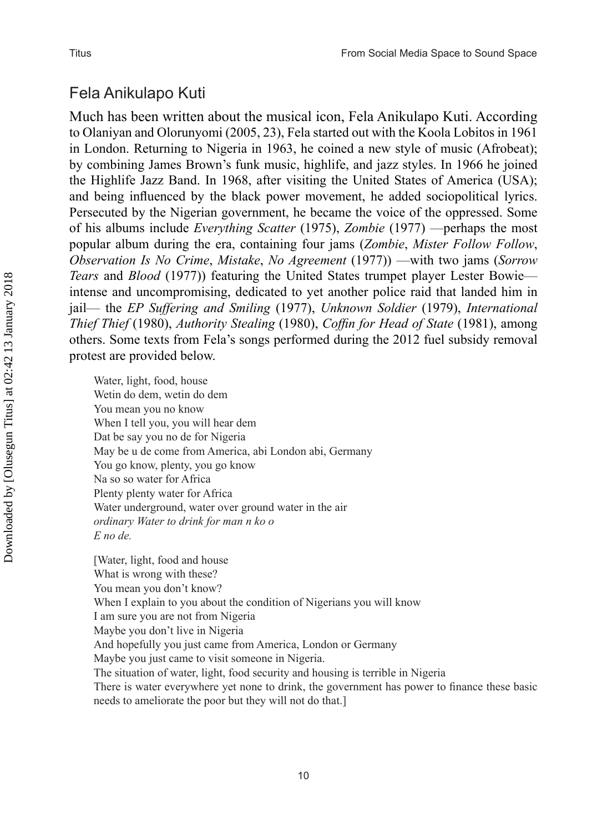## Fela Anikulapo Kuti

Much has been written about the musical icon, Fela Anikulapo Kuti. According to Olaniyan and Olorunyomi (2005, 23), Fela started out with the Koola Lobitos in 1961 in London. Returning to Nigeria in 1963, he coined a new style of music (Afrobeat); by combining James Brown's funk music, highlife, and jazz styles. In 1966 he joined the Highlife Jazz Band. In 1968, after visiting the United States of America (USA); and being influenced by the black power movement, he added sociopolitical lyrics. Persecuted by the Nigerian government, he became the voice of the oppressed. Some of his albums include *Everything Scatter* (1975), *Zombie* (1977) —perhaps the most popular album during the era, containing four jams (*Zombie*, *Mister Follow Follow*, *Observation Is No Crime*, *Mistake*, *No Agreement* (1977)) —with two jams (*Sorrow Tears* and *Blood* (1977)) featuring the United States trumpet player Lester Bowie intense and uncompromising, dedicated to yet another police raid that landed him in jail— the *EP Suffering and Smiling* (1977), *Unknown Soldier* (1979), *International Thief Thief* (1980), *Authority Stealing* (1980), *Coffin for Head of State* (1981), among others. Some texts from Fela's songs performed during the 2012 fuel subsidy removal protest are provided below.

Water, light, food, house Wetin do dem, wetin do dem You mean you no know When I tell you, you will hear dem Dat be say you no de for Nigeria May be u de come from America, abi London abi, Germany You go know, plenty, you go know Na so so water for Africa Plenty plenty water for Africa Water underground, water over ground water in the air *ordinary Water to drink for man n ko o E no de.*

[Water, light, food and house What is wrong with these? You mean you don't know? When I explain to you about the condition of Nigerians you will know I am sure you are not from Nigeria Maybe you don't live in Nigeria And hopefully you just came from America, London or Germany Maybe you just came to visit someone in Nigeria. The situation of water, light, food security and housing is terrible in Nigeria There is water everywhere yet none to drink, the government has power to finance these basic needs to ameliorate the poor but they will not do that.]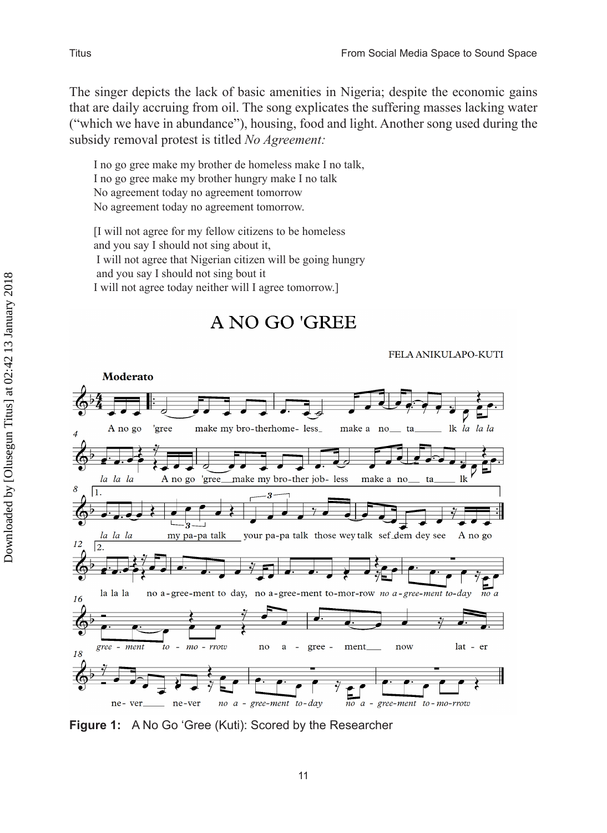The singer depicts the lack of basic amenities in Nigeria; despite the economic gains that are daily accruing from oil. The song explicates the suffering masses lacking water ("which we have in abundance"), housing, food and light. Another song used during the subsidy removal protest is titled *No Agreement:*

I no go gree make my brother de homeless make I no talk, I no go gree make my brother hungry make I no talk No agreement today no agreement tomorrow No agreement today no agreement tomorrow.

[I will not agree for my fellow citizens to be homeless and you say I should not sing about it, I will not agree that Nigerian citizen will be going hungry and you say I should not sing bout it I will not agree today neither will I agree tomorrow.]

# A NO GO 'GREE

FELA ANIKULAPO-KUTI



**Figure 1:** A No Go 'Gree (Kuti): Scored by the Researcher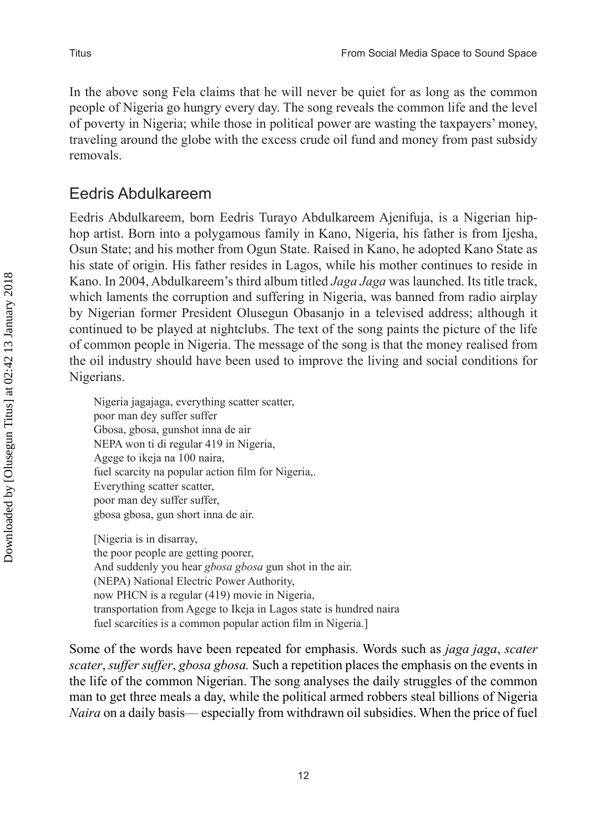In the above song Fela claims that he will never be quiet for as long as the common people of Nigeria go hungry every day. The song reveals the common life and the level of poverty in Nigeria; while those in political power are wasting the taxpayers' money, traveling around the globe with the excess crude oil fund and money from past subsidy removals.

#### Eedris Abdulkareem

Eedris Abdulkareem, born Eedris Turayo Abdulkareem Ajenifuja, is a Nigerian hiphop artist. Born into a polygamous family in Kano, Nigeria, his father is from Ijesha, Osun State; and his mother from Ogun State. Raised in Kano, he adopted Kano State as his state of origin. His father resides in Lagos, while his mother continues to reside in Kano. In 2004, Abdulkareem's third album titled *Jaga Jaga* was launched. Its title track, which laments the corruption and suffering in Nigeria, was banned from radio airplay by Nigerian former President Olusegun Obasanjo in a televised address; although it continued to be played at nightclubs. The text of the song paints the picture of the life of common people in Nigeria. The message of the song is that the money realised from the oil industry should have been used to improve the living and social conditions for Nigerians.

Nigeria jagajaga, everything scatter scatter, poor man dey suffer suffer Gbosa, gbosa, gunshot inna de air NEPA won ti di regular 419 in Nigeria, Agege to ikeja na 100 naira, fuel scarcity na popular action film for Nigeria,. Everything scatter scatter, poor man dey suffer suffer, gbosa gbosa, gun short inna de air.

[Nigeria is in disarray, the poor people are getting poorer, And suddenly you hear *gbosa gbosa* gun shot in the air. (NEPA) National Electric Power Authority, now PHCN is a regular (419) movie in Nigeria, transportation from Agege to Ikeja in Lagos state is hundred naira fuel scarcities is a common popular action film in Nigeria.]

Some of the words have been repeated for emphasis. Words such as *jaga jaga*, *scater scater*, *suffer suffer*, *gbosa gbosa.* Such a repetition places the emphasis on the events in the life of the common Nigerian. The song analyses the daily struggles of the common man to get three meals a day, while the political armed robbers steal billions of Nigeria *Naira* on a daily basis— especially from withdrawn oil subsidies. When the price of fuel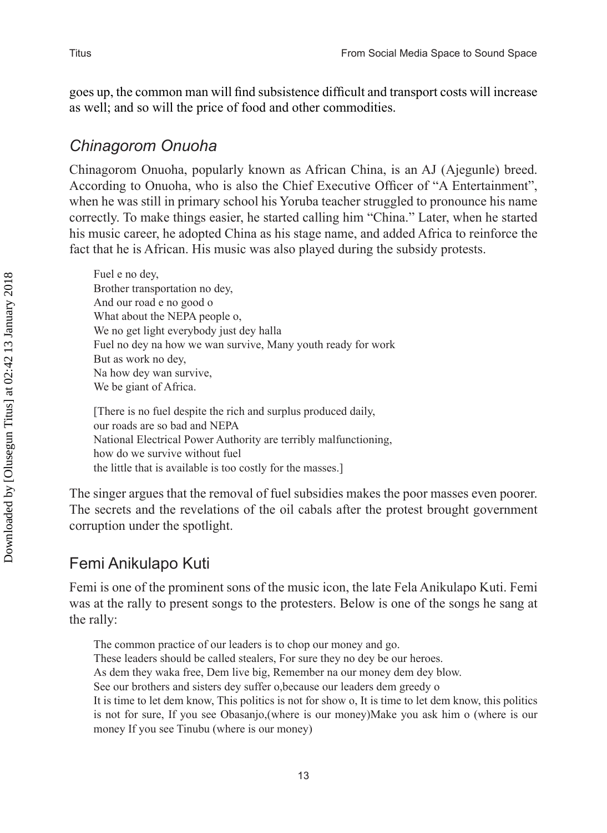goes up, the common man will find subsistence difficult and transport costs will increase as well; and so will the price of food and other commodities.

#### *Chinagorom Onuoha*

Chinagorom Onuoha, popularly known as African China, is an AJ (Ajegunle) breed. According to Onuoha, who is also the Chief Executive Officer of "A Entertainment", when he was still in primary school his Yoruba teacher struggled to pronounce his name correctly. To make things easier, he started calling him "China." Later, when he started his music career, he adopted China as his stage name, and added Africa to reinforce the fact that he is African. His music was also played during the subsidy protests.

Fuel e no dey, Brother transportation no dey, And our road e no good o What about the NEPA people o, We no get light everybody just dey halla Fuel no dey na how we wan survive, Many youth ready for work But as work no dey, Na how dey wan survive, We be giant of Africa.

[There is no fuel despite the rich and surplus produced daily, our roads are so bad and NEPA National Electrical Power Authority are terribly malfunctioning, how do we survive without fuel the little that is available is too costly for the masses.]

The singer argues that the removal of fuel subsidies makes the poor masses even poorer. The secrets and the revelations of the oil cabals after the protest brought government corruption under the spotlight.

#### Femi Anikulapo Kuti

Femi is one of the prominent sons of the music icon, the late Fela Anikulapo Kuti. Femi was at the rally to present songs to the protesters. Below is one of the songs he sang at the rally:

The common practice of our leaders is to chop our money and go. These leaders should be called stealers, For sure they no dey be our heroes. As dem they waka free, Dem live big, Remember na our money dem dey blow. See our brothers and sisters dey suffer o,because our leaders dem greedy o It is time to let dem know, This politics is not for show o, It is time to let dem know, this politics is not for sure, If you see Obasanjo,(where is our money)Make you ask him o (where is our money If you see Tinubu (where is our money)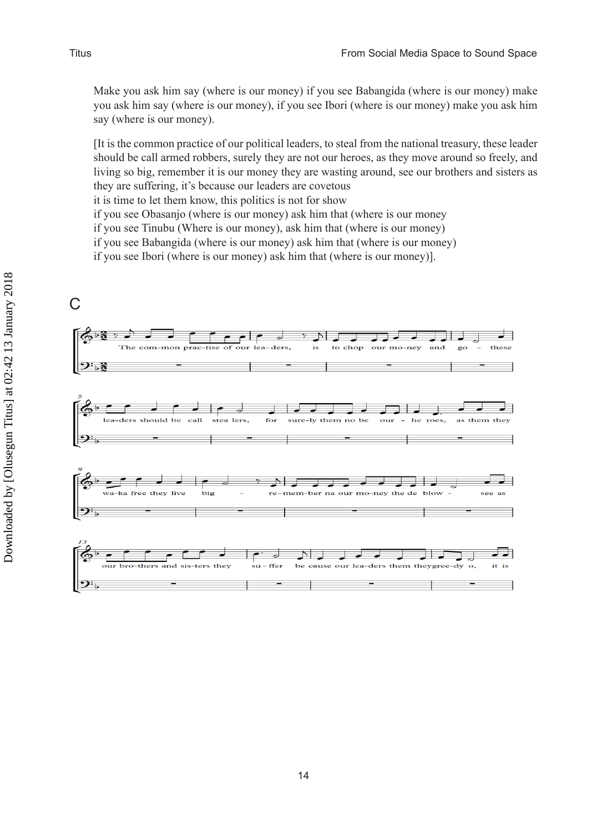Make you ask him say (where is our money) if you see Babangida (where is our money) make you ask him say (where is our money), if you see Ibori (where is our money) make you ask him say (where is our money).

[It is the common practice of our political leaders, to steal from the national treasury, these leader should be call armed robbers, surely they are not our heroes, as they move around so freely, and living so big, remember it is our money they are wasting around, see our brothers and sisters as they are suffering, it's because our leaders are covetous

it is time to let them know, this politics is not for show

if you see Obasanjo (where is our money) ask him that (where is our money

if you see Tinubu (Where is our money), ask him that (where is our money)

if you see Babangida (where is our money) ask him that (where is our money)

if you see Ibori (where is our money) ask him that (where is our money)].

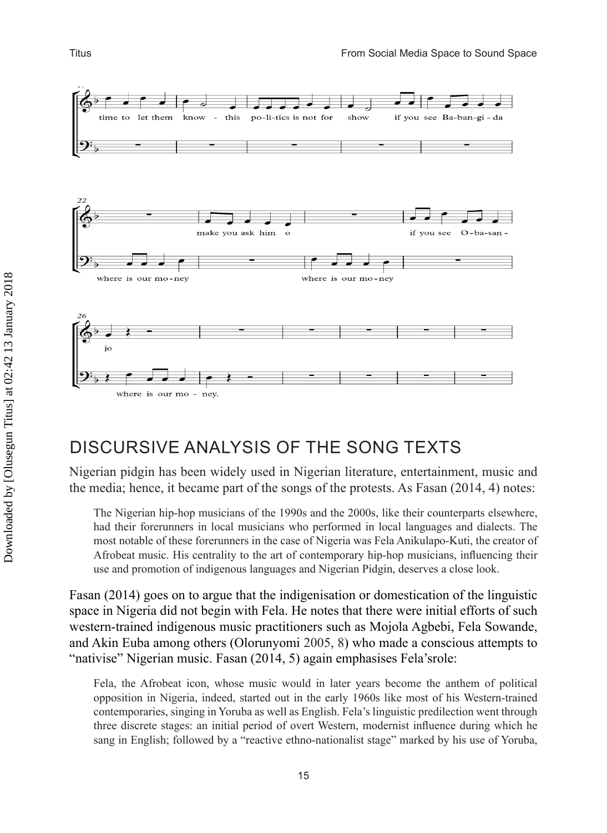

# DISCURSIVE ANALYSIS OF THE SONG TEXTS

Nigerian pidgin has been widely used in Nigerian literature, entertainment, music and the media; hence, it became part of the songs of the protests. As Fasan (2014, 4) notes:

The Nigerian hip-hop musicians of the 1990s and the 2000s, like their counterparts elsewhere, had their forerunners in local musicians who performed in local languages and dialects. The most notable of these forerunners in the case of Nigeria was Fela Anikulapo-Kuti, the creator of Afrobeat music. His centrality to the art of contemporary hip-hop musicians, influencing their use and promotion of indigenous languages and Nigerian Pidgin, deserves a close look.

Fasan (2014) goes on to argue that the indigenisation or domestication of the linguistic space in Nigeria did not begin with Fela. He notes that there were initial efforts of such western-trained indigenous music practitioners such as Mojola Agbebi, Fela Sowande, and Akin Euba among others (Olorunyomi 2005, 8) who made a conscious attempts to "nativise" Nigerian music. Fasan (2014, 5) again emphasises Fela'srole:

Fela, the Afrobeat icon, whose music would in later years become the anthem of political opposition in Nigeria, indeed, started out in the early 1960s like most of his Western-trained contemporaries, singing in Yoruba as well as English. Fela's linguistic predilection went through three discrete stages: an initial period of overt Western, modernist influence during which he sang in English; followed by a "reactive ethno-nationalist stage" marked by his use of Yoruba,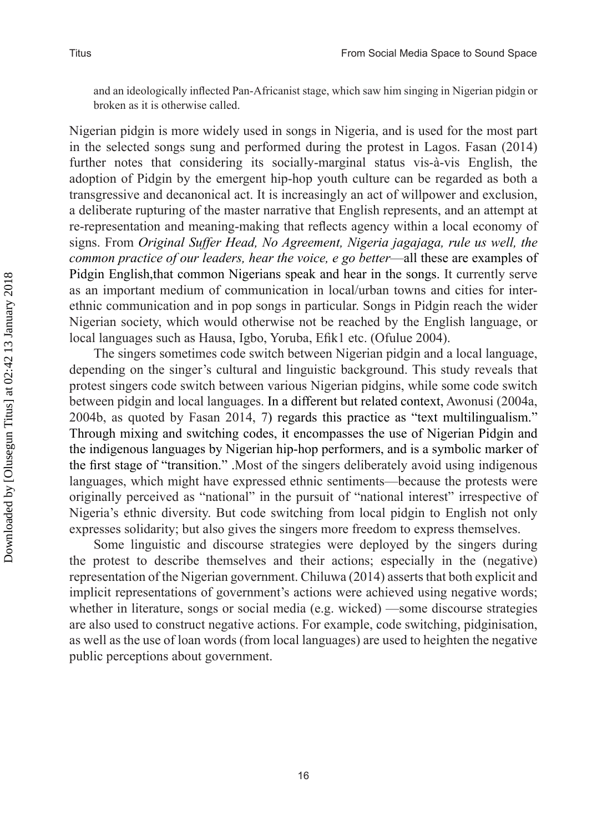and an ideologically inflected Pan-Africanist stage, which saw him singing in Nigerian pidgin or broken as it is otherwise called.

Nigerian pidgin is more widely used in songs in Nigeria, and is used for the most part in the selected songs sung and performed during the protest in Lagos. Fasan (2014) further notes that considering its socially-marginal status vis-à-vis English, the adoption of Pidgin by the emergent hip-hop youth culture can be regarded as both a transgressive and decanonical act. It is increasingly an act of willpower and exclusion, a deliberate rupturing of the master narrative that English represents, and an attempt at re-representation and meaning-making that reflects agency within a local economy of signs. From *Original Suffer Head, No Agreement, Nigeria jagajaga, rule us well, the common practice of our leaders, hear the voice, e go better—all these are examples of* Pidgin English,that common Nigerians speak and hear in the songs. It currently serve as an important medium of communication in local/urban towns and cities for interethnic communication and in pop songs in particular. Songs in Pidgin reach the wider Nigerian society, which would otherwise not be reached by the English language, or local languages such as Hausa, Igbo, Yoruba, Efik1 etc. (Ofulue 2004).

The singers sometimes code switch between Nigerian pidgin and a local language, depending on the singer's cultural and linguistic background. This study reveals that protest singers code switch between various Nigerian pidgins, while some code switch between pidgin and local languages. In a different but related context, Awonusi (2004a, 2004b, as quoted by Fasan 2014, 7) regards this practice as "text multilingualism." Through mixing and switching codes, it encompasses the use of Nigerian Pidgin and the indigenous languages by Nigerian hip-hop performers, and is a symbolic marker of the first stage of "transition." .Most of the singers deliberately avoid using indigenous languages, which might have expressed ethnic sentiments—because the protests were originally perceived as "national" in the pursuit of "national interest" irrespective of Nigeria's ethnic diversity. But code switching from local pidgin to English not only expresses solidarity; but also gives the singers more freedom to express themselves.

Some linguistic and discourse strategies were deployed by the singers during the protest to describe themselves and their actions; especially in the (negative) representation of the Nigerian government. Chiluwa (2014) asserts that both explicit and implicit representations of government's actions were achieved using negative words; whether in literature, songs or social media (e.g. wicked) —some discourse strategies are also used to construct negative actions. For example, code switching, pidginisation, as well as the use of loan words (from local languages) are used to heighten the negative public perceptions about government.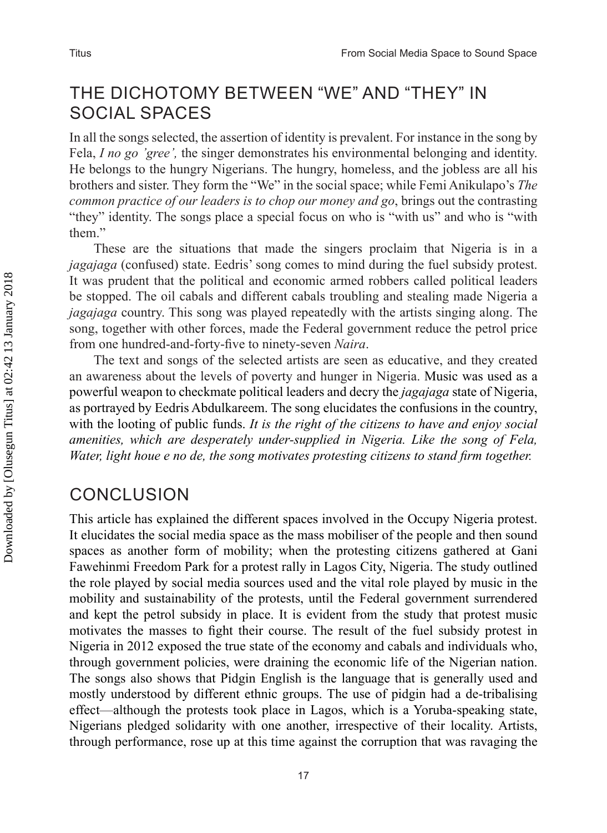# THE DICHOTOMY BETWEEN "WE" AND "THEY" IN SOCIAL SPACES

In all the songs selected, the assertion of identity is prevalent. For instance in the song by Fela, *I no go 'gree',* the singer demonstrates his environmental belonging and identity. He belongs to the hungry Nigerians. The hungry, homeless, and the jobless are all his brothers and sister. They form the "We" in the social space; while Femi Anikulapo's *The common practice of our leaders is to chop our money and go*, brings out the contrasting "they" identity. The songs place a special focus on who is "with us" and who is "with them."

These are the situations that made the singers proclaim that Nigeria is in a *jagajaga* (confused) state. Eedris' song comes to mind during the fuel subsidy protest. It was prudent that the political and economic armed robbers called political leaders be stopped. The oil cabals and different cabals troubling and stealing made Nigeria a *jagajaga* country. This song was played repeatedly with the artists singing along. The song, together with other forces, made the Federal government reduce the petrol price from one hundred-and-forty-five to ninety-seven *Naira*.

The text and songs of the selected artists are seen as educative, and they created an awareness about the levels of poverty and hunger in Nigeria. Music was used as a powerful weapon to checkmate political leaders and decry the *jagajaga* state of Nigeria, as portrayed by Eedris Abdulkareem. The song elucidates the confusions in the country, with the looting of public funds. *It is the right of the citizens to have and enjoy social amenities, which are desperately under-supplied in Nigeria. Like the song of Fela, Water, light houe e no de, the song motivates protesting citizens to stand firm together.* 

### **CONCLUSION**

This article has explained the different spaces involved in the Occupy Nigeria protest. It elucidates the social media space as the mass mobiliser of the people and then sound spaces as another form of mobility; when the protesting citizens gathered at Gani Fawehinmi Freedom Park for a protest rally in Lagos City, Nigeria. The study outlined the role played by social media sources used and the vital role played by music in the mobility and sustainability of the protests, until the Federal government surrendered and kept the petrol subsidy in place. It is evident from the study that protest music motivates the masses to fight their course. The result of the fuel subsidy protest in Nigeria in 2012 exposed the true state of the economy and cabals and individuals who, through government policies, were draining the economic life of the Nigerian nation. The songs also shows that Pidgin English is the language that is generally used and mostly understood by different ethnic groups. The use of pidgin had a de-tribalising effect—although the protests took place in Lagos, which is a Yoruba-speaking state, Nigerians pledged solidarity with one another, irrespective of their locality. Artists, through performance, rose up at this time against the corruption that was ravaging the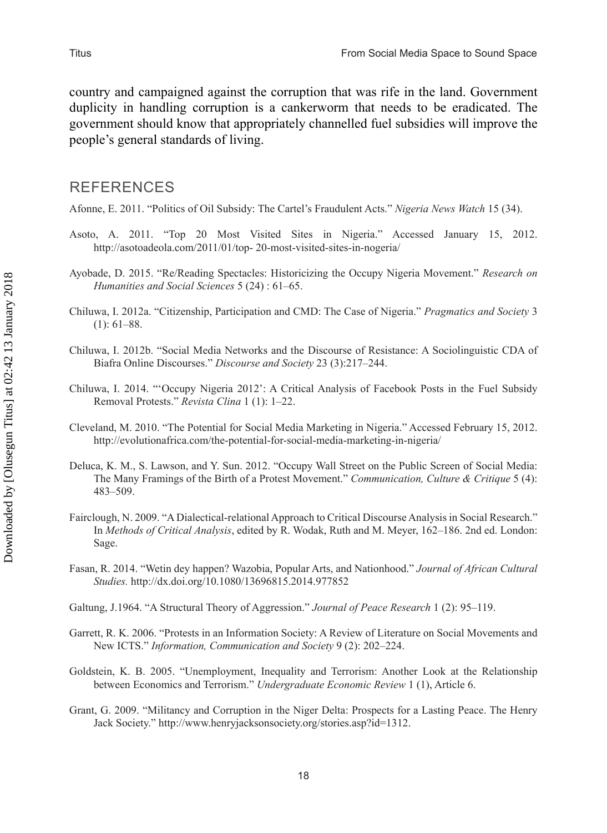country and campaigned against the corruption that was rife in the land. Government duplicity in handling corruption is a cankerworm that needs to be eradicated. The government should know that appropriately channelled fuel subsidies will improve the people's general standards of living.

#### REFERENCES

Afonne, E. 2011. "Politics of Oil Subsidy: The Cartel's Fraudulent Acts." *Nigeria News Watch* 15 (34).

- Asoto, A. 2011. "Top 20 Most Visited Sites in Nigeria." Accessed January 15, 2012. http://asotoadeola.com/2011/01/top- 20-most-visited-sites-in-nogeria/
- Ayobade, D. 2015. "Re/Reading Spectacles: Historicizing the Occupy Nigeria Movement." *Research on Humanities and Social Sciences* 5 (24) : 61–65.
- Chiluwa, I. 2012a. "Citizenship, Participation and CMD: The Case of Nigeria." *Pragmatics and Society* 3  $(1): 61-88.$
- Chiluwa, I. 2012b. "Social Media Networks and the Discourse of Resistance: A Sociolinguistic CDA of Biafra Online Discourses." *Discourse and Society* 23 (3):217–244.
- Chiluwa, I. 2014. "'Occupy Nigeria 2012': A Critical Analysis of Facebook Posts in the Fuel Subsidy Removal Protests." *Revista Clina* 1 (1): 1–22.
- Cleveland, M. 2010. "The Potential for Social Media Marketing in Nigeria." Accessed February 15, 2012. http://evolutionafrica.com/the-potential-for-social-media-marketing-in-nigeria/
- Deluca, K. M., S. Lawson, and Y. Sun. 2012. "Occupy Wall Street on the Public Screen of Social Media: The Many Framings of the Birth of a Protest Movement." *Communication, Culture & Critique* 5 (4): 483–509.
- Fairclough, N. 2009. "A Dialectical-relational Approach to Critical Discourse Analysis in Social Research." In *Methods of Critical Analysis*, edited by R. Wodak, Ruth and M. Meyer, 162–186. 2nd ed. London: Sage.
- Fasan, R. 2014. "Wetin dey happen? Wazobia, Popular Arts, and Nationhood." *Journal of African Cultural Studies.* http://dx.doi.org/10.1080/13696815.2014.977852

Galtung, J.1964. "A Structural Theory of Aggression." *Journal of Peace Research* 1 (2): 95–119.

- Garrett, R. K. 2006. "Protests in an Information Society: A Review of Literature on Social Movements and New ICTS." *Information, Communication and Society* 9 (2): 202–224.
- Goldstein, K. B. 2005. "Unemployment, Inequality and Terrorism: Another Look at the Relationship between Economics and Terrorism." *Undergraduate Economic Review* 1 (1), Article 6.
- Grant, G. 2009. "Militancy and Corruption in the Niger Delta: Prospects for a Lasting Peace. The Henry Jack Society." http://www.henryjacksonsociety.org/stories.asp?id=1312.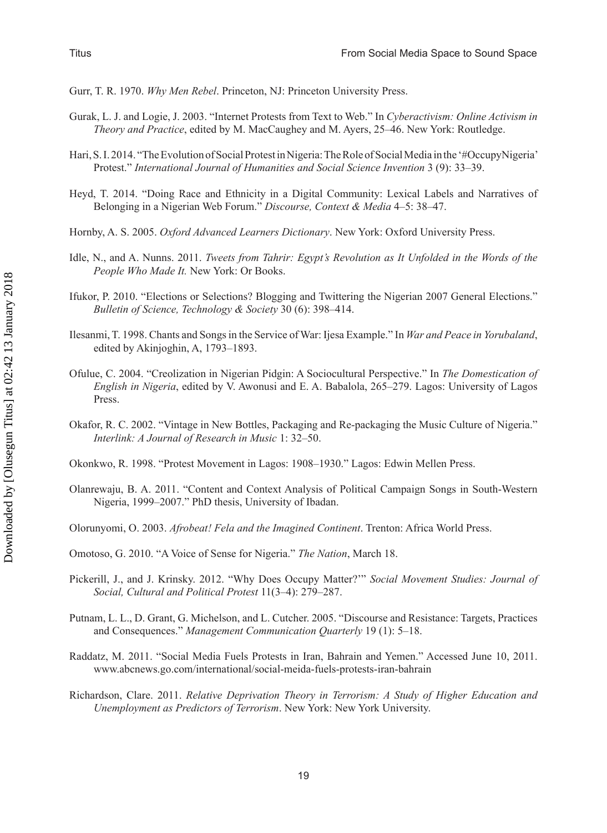Gurr, T. R. 1970. *Why Men Rebel*. Princeton, NJ: Princeton University Press.

- Gurak, L. J. and Logie, J. 2003. "Internet Protests from Text to Web." In *Cyberactivism: Online Activism in Theory and Practice*, edited by M. MacCaughey and M. Ayers, 25–46. New York: Routledge.
- Hari, S. I. 2014. "The Evolution of Social Protest in Nigeria: The Role of Social Media in the '#OccupyNigeria' Protest." *International Journal of Humanities and Social Science Invention* 3 (9): 33–39.
- Heyd, T. 2014. "Doing Race and Ethnicity in a Digital Community: Lexical Labels and Narratives of Belonging in a Nigerian Web Forum." *Discourse, Context & Media* 4–5: 38–47.
- Hornby, A. S. 2005. *Oxford Advanced Learners Dictionary*. New York: Oxford University Press.
- Idle, N., and A. Nunns. 2011. *Tweets from Tahrir: Egypt's Revolution as It Unfolded in the Words of the People Who Made It.* New York: Or Books.
- Ifukor, P. 2010. "Elections or Selections? Blogging and Twittering the Nigerian 2007 General Elections." *Bulletin of Science, Technology & Society* 30 (6): 398–414.
- Ilesanmi, T. 1998. Chants and Songs in the Service of War: Ijesa Example." In *War and Peace in Yorubaland*, edited by Akinjoghin, A, 1793–1893.
- Ofulue, C. 2004. "Creolization in Nigerian Pidgin: A Sociocultural Perspective." In *The Domestication of English in Nigeria*, edited by V. Awonusi and E. A. Babalola, 265–279. Lagos: University of Lagos Press.
- Okafor, R. C. 2002. "Vintage in New Bottles, Packaging and Re-packaging the Music Culture of Nigeria." *Interlink: A Journal of Research in Music* 1: 32–50.
- Okonkwo, R. 1998. "Protest Movement in Lagos: 1908–1930." Lagos: Edwin Mellen Press.
- Olanrewaju, B. A. 2011. "Content and Context Analysis of Political Campaign Songs in South-Western Nigeria, 1999–2007." PhD thesis, University of Ibadan.
- Olorunyomi, O. 2003. *Afrobeat! Fela and the Imagined Continent*. Trenton: Africa World Press.

Omotoso, G. 2010. "A Voice of Sense for Nigeria." *The Nation*, March 18.

- Pickerill, J., and J. Krinsky. 2012. "Why Does Occupy Matter?'" *Social Movement Studies: Journal of Social, Cultural and Political Protest* 11(3–4): 279–287.
- Putnam, L. L., D. Grant, G. Michelson, and L. Cutcher. 2005. "Discourse and Resistance: Targets, Practices and Consequences." *Management Communication Quarterly* 19 (1): 5–18.
- Raddatz, M. 2011. "Social Media Fuels Protests in Iran, Bahrain and Yemen." Accessed June 10, 2011. www.abcnews.go.com/international/social-meida-fuels-protests-iran-bahrain
- Richardson, Clare. 2011. *Relative Deprivation Theory in Terrorism: A Study of Higher Education and Unemployment as Predictors of Terrorism*. New York: New York University.